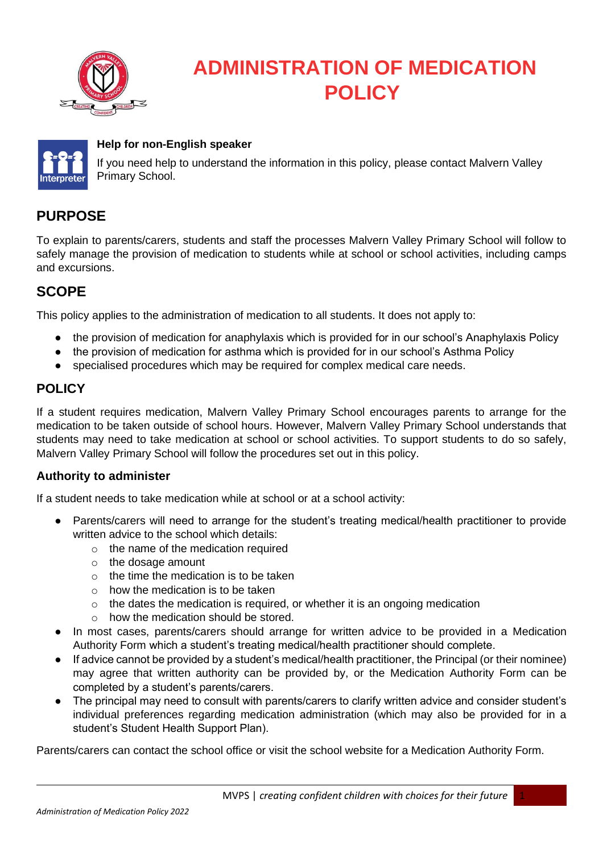

## **ADMINISTRATION OF MEDICATION POLICY**



#### **Help for non-English speaker**

If you need help to understand the information in this policy, please contact Malvern Valley Primary School.

## **PURPOSE**

To explain to parents/carers, students and staff the processes Malvern Valley Primary School will follow to safely manage the provision of medication to students while at school or school activities, including camps and excursions.

## **SCOPE**

This policy applies to the administration of medication to all students. It does not apply to:

- the provision of medication for anaphylaxis which is provided for in our school's Anaphylaxis Policy
- the provision of medication for asthma which is provided for in our school's Asthma Policy
- specialised procedures which may be required for complex medical care needs.

## **POLICY**

If a student requires medication, Malvern Valley Primary School encourages parents to arrange for the medication to be taken outside of school hours. However, Malvern Valley Primary School understands that students may need to take medication at school or school activities. To support students to do so safely, Malvern Valley Primary School will follow the procedures set out in this policy.

#### **Authority to administer**

If a student needs to take medication while at school or at a school activity:

- Parents/carers will need to arrange for the student's treating medical/health practitioner to provide written advice to the school which details:
	- o the name of the medication required
	- o the dosage amount
	- $\circ$  the time the medication is to be taken
	- $\circ$  how the medication is to be taken
	- $\circ$  the dates the medication is required, or whether it is an ongoing medication
	- o how the medication should be stored.
- In most cases, parents/carers should arrange for written advice to be provided in a Medication Authority Form which a student's treating medical/health practitioner should complete.
- If advice cannot be provided by a student's medical/health practitioner, the Principal (or their nominee) may agree that written authority can be provided by, or the Medication Authority Form can be completed by a student's parents/carers.
- The principal may need to consult with parents/carers to clarify written advice and consider student's individual preferences regarding medication administration (which may also be provided for in a student's Student Health Support Plan).

Parents/carers can contact the school office or visit the school website for a Medication Authority Form.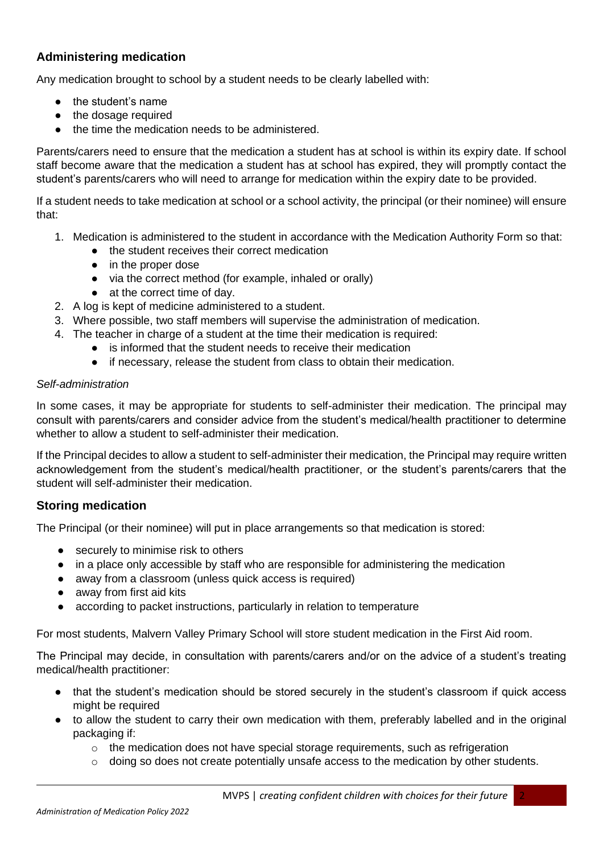## **Administering medication**

Any medication brought to school by a student needs to be clearly labelled with:

- the student's name
- the dosage required
- the time the medication needs to be administered.

Parents/carers need to ensure that the medication a student has at school is within its expiry date. If school staff become aware that the medication a student has at school has expired, they will promptly contact the student's parents/carers who will need to arrange for medication within the expiry date to be provided.

If a student needs to take medication at school or a school activity, the principal (or their nominee) will ensure that:

- 1. Medication is administered to the student in accordance with the Medication Authority Form so that:
	- the student receives their correct medication
	- in the proper dose
	- via the correct method (for example, inhaled or orally)
	- at the correct time of day.
- 2. A log is kept of medicine administered to a student.
- 3. Where possible, two staff members will supervise the administration of medication.
- 4. The teacher in charge of a student at the time their medication is required:
	- is informed that the student needs to receive their medication
	- if necessary, release the student from class to obtain their medication.

#### *Self-administration*

In some cases, it may be appropriate for students to self-administer their medication. The principal may consult with parents/carers and consider advice from the student's medical/health practitioner to determine whether to allow a student to self-administer their medication.

If the Principal decides to allow a student to self-administer their medication, the Principal may require written acknowledgement from the student's medical/health practitioner, or the student's parents/carers that the student will self-administer their medication.

#### **Storing medication**

The Principal (or their nominee) will put in place arrangements so that medication is stored:

- securely to minimise risk to others
- in a place only accessible by staff who are responsible for administering the medication
- away from a classroom (unless quick access is required)
- away from first aid kits
- according to packet instructions, particularly in relation to temperature

For most students, Malvern Valley Primary School will store student medication in the First Aid room.

The Principal may decide, in consultation with parents/carers and/or on the advice of a student's treating medical/health practitioner:

- that the student's medication should be stored securely in the student's classroom if quick access might be required
- to allow the student to carry their own medication with them, preferably labelled and in the original packaging if:
	- o the medication does not have special storage requirements, such as refrigeration
	- $\circ$  doing so does not create potentially unsafe access to the medication by other students.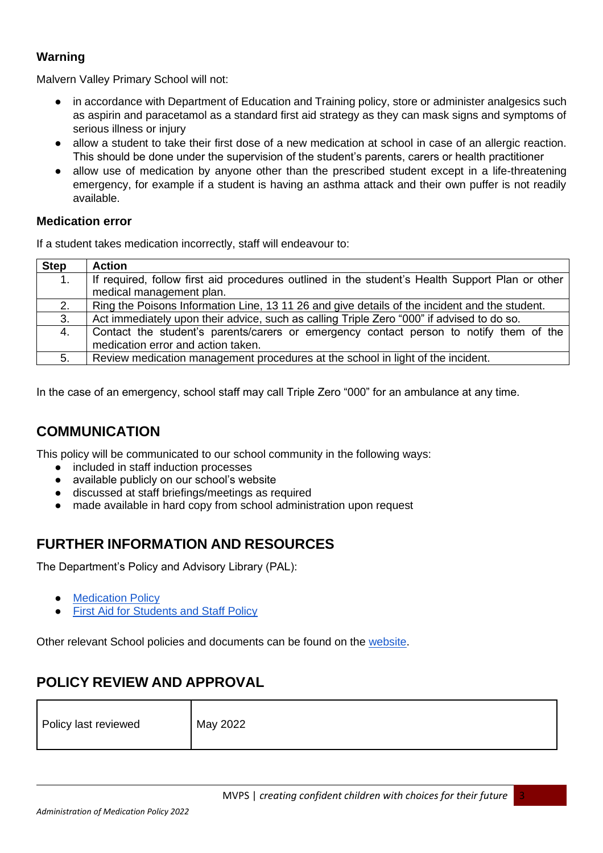## **Warning**

Malvern Valley Primary School will not:

- in accordance with Department of Education and Training policy, store or administer analgesics such as aspirin and paracetamol as a standard first aid strategy as they can mask signs and symptoms of serious illness or injury
- allow a student to take their first dose of a new medication at school in case of an allergic reaction. This should be done under the supervision of the student's parents, carers or health practitioner
- allow use of medication by anyone other than the prescribed student except in a life-threatening emergency, for example if a student is having an asthma attack and their own puffer is not readily available.

## **Medication error**

If a student takes medication incorrectly, staff will endeavour to:

| <b>Step</b>    | <b>Action</b>                                                                                                                |
|----------------|------------------------------------------------------------------------------------------------------------------------------|
| 1 <sub>1</sub> | If required, follow first aid procedures outlined in the student's Health Support Plan or other                              |
|                | medical management plan.                                                                                                     |
| 2.             | Ring the Poisons Information Line, 13 11 26 and give details of the incident and the student.                                |
| 3.             | Act immediately upon their advice, such as calling Triple Zero "000" if advised to do so.                                    |
| 4.             | Contact the student's parents/carers or emergency contact person to notify them of the<br>medication error and action taken. |
| 5.             | Review medication management procedures at the school in light of the incident.                                              |
|                |                                                                                                                              |

In the case of an emergency, school staff may call Triple Zero "000" for an ambulance at any time.

## **COMMUNICATION**

This policy will be communicated to our school community in the following ways:

- included in staff induction processes
- available publicly on our school's website
- discussed at staff briefings/meetings as required
- made available in hard copy from school administration upon request

## **FURTHER INFORMATION AND RESOURCES**

The Department's Policy and Advisory Library (PAL):

- [Medication Policy](https://www2.education.vic.gov.au/pal/medication/policy)
- **[First Aid for Students and Staff Policy](https://www2.education.vic.gov.au/pal/first-aid-students-and-staff/policy)**

Other relevant School policies and documents can be found on the [website.](https://mvps.vic.edu.au/community/#policies)

## **POLICY REVIEW AND APPROVAL**

| Policy last reviewed | May 2022 |
|----------------------|----------|
|----------------------|----------|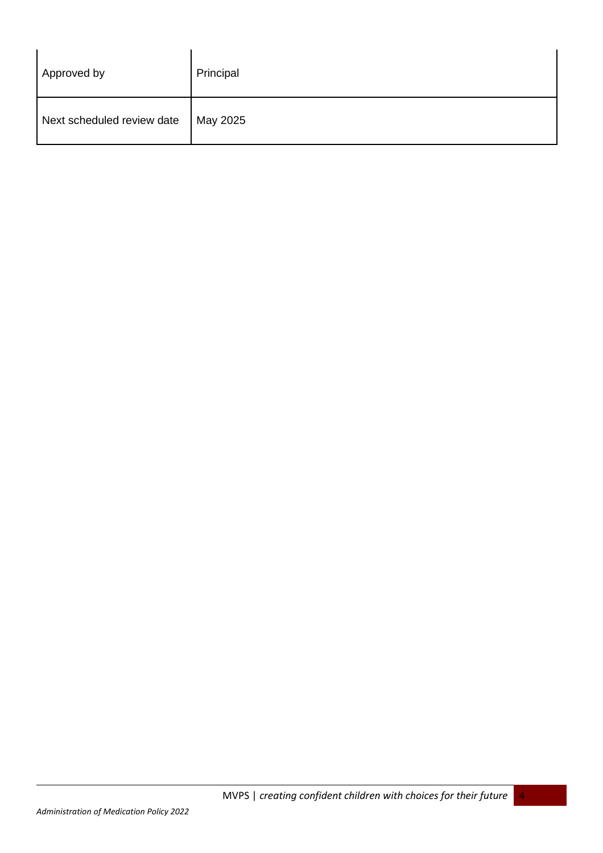| Approved by                | Principal |
|----------------------------|-----------|
| Next scheduled review date | May 2025  |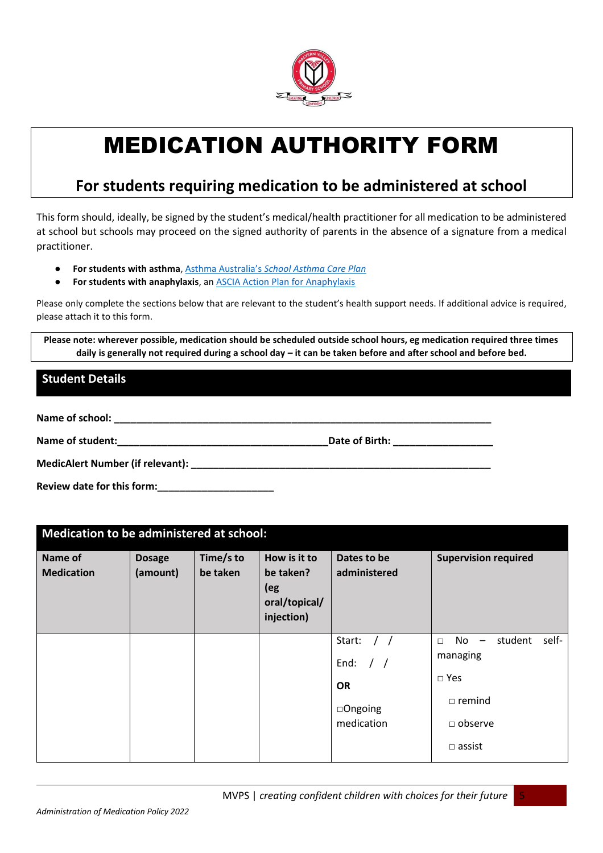

# MEDICATION AUTHORITY FORM

## **For students requiring medication to be administered at school**

This form should, ideally, be signed by the student's medical/health practitioner for all medication to be administered at school but schools may proceed on the signed authority of parents in the absence of a signature from a medical practitioner.

- **For students with asthma**, [Asthma Australia's](https://www.asthmaaustralia.org.au/vic/about-asthma/resources) *[School Asthma Care Plan](https://www.asthmaaustralia.org.au/vic/about-asthma/resources)*
- **For students with anaphylaxis**, an **ASCIA Action Plan for Anaphylaxis**

Please only complete the sections below that are relevant to the student's health support needs. If additional advice is required, please attach it to this form.

**Please note: wherever possible, medication should be scheduled outside school hours, eg medication required three times daily is generally not required during a school day – it can be taken before and after school and before bed.**

## **Student Details**

Name of school: **We also see also see also see also see also see also see also see also see also see also see a** 

Name of student: **Name of student: Name of Sirth: Date of Birth: Date of Birth: Date of Birth: Name of Sirth: Name of Sirth: Name of Sirth: Name of Sirth: Name of Sirth: Name of Sirth: Name of Sirth:** 

**MedicAlert Number (if relevant): \_\_\_\_\_\_\_\_\_\_\_\_\_\_\_\_\_\_\_\_\_\_\_\_\_\_\_\_\_\_\_\_\_\_\_\_\_\_\_\_\_\_\_\_\_\_\_\_\_\_\_\_\_\_**

**Review date for this form:\_\_\_\_\_\_\_\_\_\_\_\_\_\_\_\_\_\_\_\_\_**

| Medication to be administered at school: |                           |                       |                                                                 |                                                                   |                                                                                                                                               |  |  |  |
|------------------------------------------|---------------------------|-----------------------|-----------------------------------------------------------------|-------------------------------------------------------------------|-----------------------------------------------------------------------------------------------------------------------------------------------|--|--|--|
| Name of<br><b>Medication</b>             | <b>Dosage</b><br>(amount) | Time/s to<br>be taken | How is it to<br>be taken?<br>(eg<br>oral/topical/<br>injection) | Dates to be<br>administered                                       | <b>Supervision required</b>                                                                                                                   |  |  |  |
|                                          |                           |                       |                                                                 | Start:<br>End: $/$ /<br><b>OR</b><br>$\Box$ Ongoing<br>medication | self-<br>student<br>No<br>$\overline{\phantom{a}}$<br>$\Box$<br>managing<br>$\square$ Yes<br>$\Box$ remind<br>$\Box$ observe<br>$\Box$ assist |  |  |  |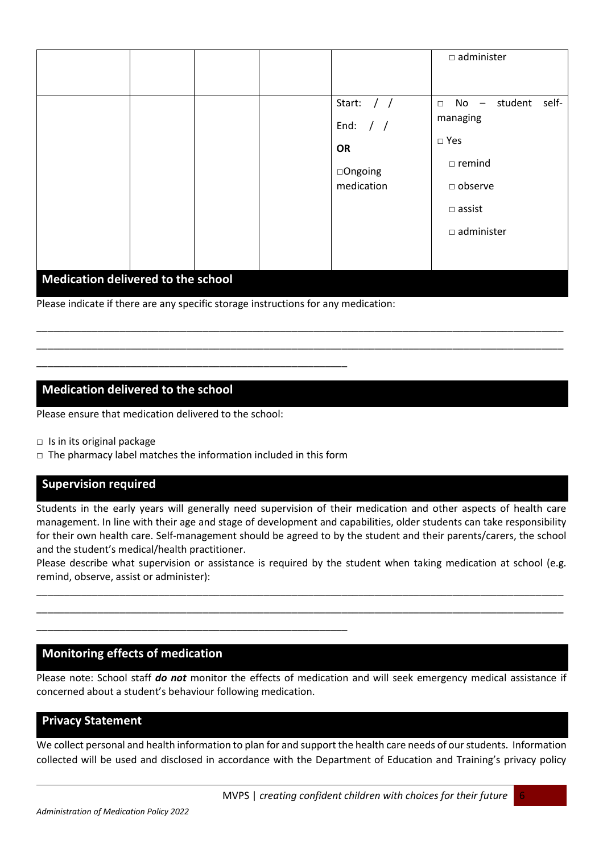|                                    |  |  |  |                                                                   | $\square$ administer                                                                                                                                                        |  |
|------------------------------------|--|--|--|-------------------------------------------------------------------|-----------------------------------------------------------------------------------------------------------------------------------------------------------------------------|--|
|                                    |  |  |  | Start: $/$ /<br>End: $/$ /<br><b>OR</b><br>□Ongoing<br>medication | student<br>self-<br>No<br>$\Box$<br>$\overline{\phantom{m}}$<br>managing<br>$\square$ Yes<br>$\square$ remind<br>$\square$ observe<br>$\Box$ assist<br>$\square$ administer |  |
| Medication delivered to the school |  |  |  |                                                                   |                                                                                                                                                                             |  |

\_\_\_\_\_\_\_\_\_\_\_\_\_\_\_\_\_\_\_\_\_\_\_\_\_\_\_\_\_\_\_\_\_\_\_\_\_\_\_\_\_\_\_\_\_\_\_\_\_\_\_\_\_\_\_\_\_\_\_\_\_\_\_\_\_\_\_\_\_\_\_\_\_\_\_\_\_\_\_\_\_\_\_\_\_\_\_\_\_\_\_\_\_\_\_ \_\_\_\_\_\_\_\_\_\_\_\_\_\_\_\_\_\_\_\_\_\_\_\_\_\_\_\_\_\_\_\_\_\_\_\_\_\_\_\_\_\_\_\_\_\_\_\_\_\_\_\_\_\_\_\_\_\_\_\_\_\_\_\_\_\_\_\_\_\_\_\_\_\_\_\_\_\_\_\_\_\_\_\_\_\_\_\_\_\_\_\_\_\_\_

Please indicate if there are any specific storage instructions for any medication:

## **Medication delivered to the school**

Please ensure that medication delivered to the school:

**□** Is in its original package

□ The pharmacy label matches the information included in this form

\_\_\_\_\_\_\_\_\_\_\_\_\_\_\_\_\_\_\_\_\_\_\_\_\_\_\_\_\_\_\_\_\_\_\_\_\_\_\_\_\_\_\_\_\_\_\_\_\_\_\_\_\_\_\_\_

\_\_\_\_\_\_\_\_\_\_\_\_\_\_\_\_\_\_\_\_\_\_\_\_\_\_\_\_\_\_\_\_\_\_\_\_\_\_\_\_\_\_\_\_\_\_\_\_\_\_\_\_\_\_\_\_

#### **Supervision required**

Students in the early years will generally need supervision of their medication and other aspects of health care management. In line with their age and stage of development and capabilities, older students can take responsibility for their own health care. Self-management should be agreed to by the student and their parents/carers, the school and the student's medical/health practitioner.

Please describe what supervision or assistance is required by the student when taking medication at school (e.g. remind, observe, assist or administer):

\_\_\_\_\_\_\_\_\_\_\_\_\_\_\_\_\_\_\_\_\_\_\_\_\_\_\_\_\_\_\_\_\_\_\_\_\_\_\_\_\_\_\_\_\_\_\_\_\_\_\_\_\_\_\_\_\_\_\_\_\_\_\_\_\_\_\_\_\_\_\_\_\_\_\_\_\_\_\_\_\_\_\_\_\_\_\_\_\_\_\_\_\_\_\_ \_\_\_\_\_\_\_\_\_\_\_\_\_\_\_\_\_\_\_\_\_\_\_\_\_\_\_\_\_\_\_\_\_\_\_\_\_\_\_\_\_\_\_\_\_\_\_\_\_\_\_\_\_\_\_\_\_\_\_\_\_\_\_\_\_\_\_\_\_\_\_\_\_\_\_\_\_\_\_\_\_\_\_\_\_\_\_\_\_\_\_\_\_\_\_

#### **Monitoring effects of medication**

Please note: School staff *do not* monitor the effects of medication and will seek emergency medical assistance if concerned about a student's behaviour following medication.

#### **Privacy Statement**

We collect personal and health information to plan for and support the health care needs of our students. Information collected will be used and disclosed in accordance with the Department of Education and Training's privacy policy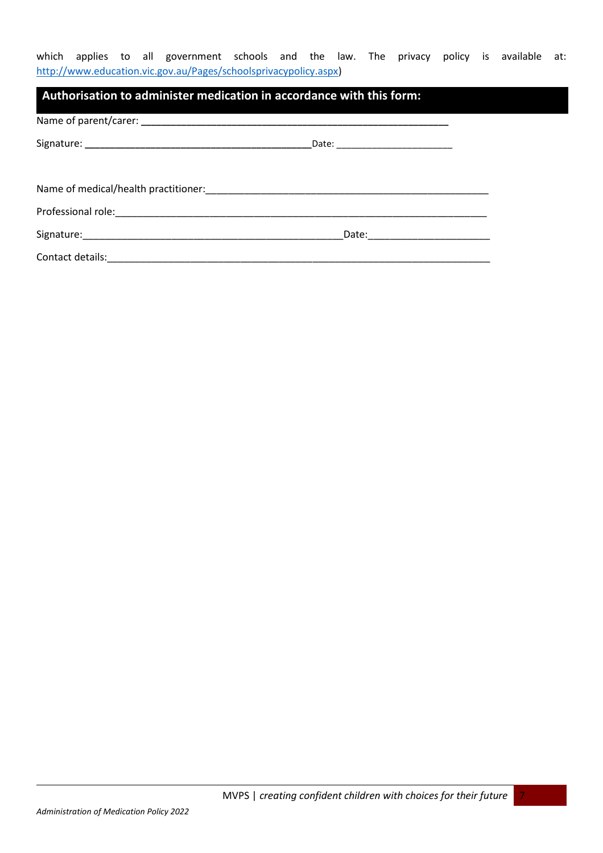which applies to all government schools and the law. The privacy policy is available at: [http://www.education.vic.gov.au/Pages/schoolsprivacypolicy.aspx\)](http://www.education.vic.gov.au/Pages/schoolsprivacypolicy.aspx)

| $\mid$ Authorisation to administer medication in accordance with this form:                                                                                                                                                    |  |
|--------------------------------------------------------------------------------------------------------------------------------------------------------------------------------------------------------------------------------|--|
|                                                                                                                                                                                                                                |  |
|                                                                                                                                                                                                                                |  |
|                                                                                                                                                                                                                                |  |
|                                                                                                                                                                                                                                |  |
| Professional role: enterprise and a series of the series of the series of the series of the series of the series of the series of the series of the series of the series of the series of the series of the series of the seri |  |
|                                                                                                                                                                                                                                |  |
|                                                                                                                                                                                                                                |  |